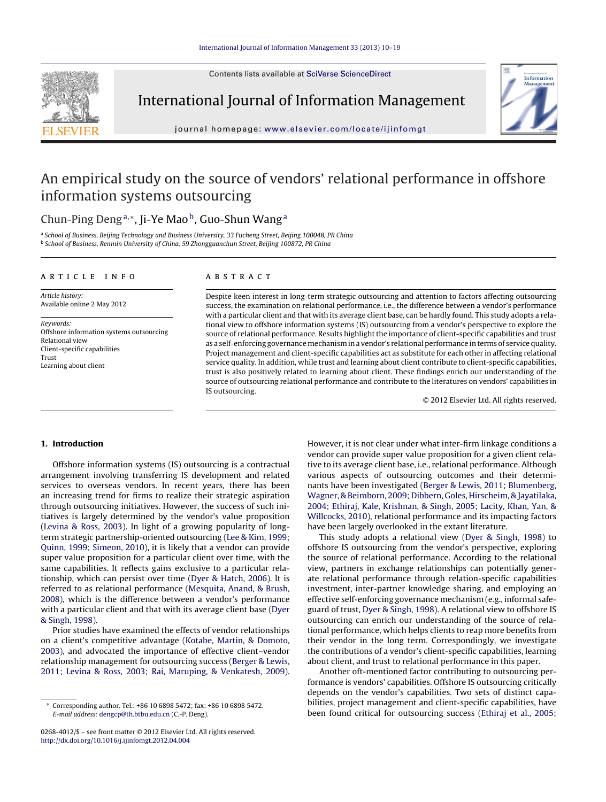Contents lists available at SciVerse [ScienceDirect](http://www.sciencedirect.com/science/journal/02684012)



International Journal of Information Management



jour nal homepag e: [www.elsevier.com/locate/ijinfomgt](http://www.elsevier.com/locate/ijinfomgt)

# An empirical study on the source of vendors' relational performance in offshore information systems outsourcing

# Chun-Ping Deng<sup>a,∗</sup>, Ji-Ye Mao<sup>b</sup>, Guo-Shun Wang<sup>a</sup>

a School of Business, Beijing Technology and Business University, 33 Fucheng Street, Beijing 100048, PR China <sup>b</sup> School of Business, Renmin University of China, 59 Zhongguanchun Street, Beijing 100872, PR China

# a r t i c l e i n f o

Article history: Available online 2 May 2012

Keywords: Offshore information systems outsourcing Relational view Client-specific capabilities Trust Learning about client

# A B S T R A C T

Despite keen interest in long-term strategic outsourcing and attention to factors affecting outsourcing success, the examination on relational performance, i.e., the difference between a vendor's performance with a particular client and that with its average client base, can be hardly found. This study adopts a relational view to offshore information systems (IS) outsourcing from a vendor's perspective to explore the source of relational performance. Results highlight the importance of client-specific capabilities and trust as a self-enforcing governance mechanism in a vendor's relational performance in terms of service quality. Project management and client-specific capabilities act as substitute for each other in affecting relational service quality. In addition, while trust and learning about client contribute to client-specific capabilities, trust is also positively related to learning about client. These findings enrich our understanding of the source of outsourcing relational performance and contribute to the literatures on vendors' capabilities in IS outsourcing.

© 2012 Elsevier Ltd. All rights reserved.

# **1. Introduction**

Offshore information systems (IS) outsourcing is a contractual arrangement involving transferring IS development and related services to overseas vendors. In recent years, there has been an increasing trend for firms to realize their strategic aspiration through outsourcing initiatives. However, the success of such initiatives is largely determined by the vendor's value proposition ([Levina](#page--1-0) [&](#page--1-0) [Ross,](#page--1-0) [2003\).](#page--1-0) In light of a growing popularity of longterm strategic partnership-oriented outsourcing ([Lee](#page--1-0) [&](#page--1-0) [Kim,](#page--1-0) [1999;](#page--1-0) [Quinn,](#page--1-0) [1999;](#page--1-0) [Simeon,](#page--1-0) [2010\),](#page--1-0) it is likely that a vendor can provide super value proposition for a particular client over time, with the same capabilities. It reflects gains exclusive to a particular relationship, which can persist over time ([Dyer](#page--1-0) [&](#page--1-0) [Hatch,](#page--1-0) [2006\).](#page--1-0) It is referred to as relational performance ([Mesquita,](#page--1-0) [Anand,](#page--1-0) [&](#page--1-0) [Brush,](#page--1-0) [2008\),](#page--1-0) which is the difference between a vendor's performance with a particular client and that with its average client base [\(Dyer](#page--1-0) [&](#page--1-0) [Singh,](#page--1-0) [1998\).](#page--1-0)

Prior studies have examined the effects of vendor relationships on a client's competitive advantage ([Kotabe,](#page--1-0) [Martin,](#page--1-0) [&](#page--1-0) [Domoto,](#page--1-0) [2003\),](#page--1-0) and advocated the importance of effective client–vendor relationship management for outsourcing success [\(Berger](#page--1-0) [&](#page--1-0) [Lewis,](#page--1-0) [2011;](#page--1-0) [Levina](#page--1-0) [&](#page--1-0) [Ross,](#page--1-0) [2003;](#page--1-0) [Rai,](#page--1-0) [Maruping,](#page--1-0) [&](#page--1-0) [Venkatesh,](#page--1-0) [2009\).](#page--1-0) However, it is not clear under what inter-firm linkage conditions a vendor can provide super value proposition for a given client relative to its average client base, i.e., relational performance. Although various aspects of outsourcing outcomes and their determinants have been investigated [\(Berger](#page--1-0) [&](#page--1-0) [Lewis,](#page--1-0) [2011;](#page--1-0) [Blumenberg,](#page--1-0) [Wagner,](#page--1-0) [&](#page--1-0) [Beimborn,](#page--1-0) [2009;](#page--1-0) [Dibbern,](#page--1-0) [Goles,](#page--1-0) [Hirscheim,](#page--1-0) [&](#page--1-0) [Jayatilaka,](#page--1-0) [2004;](#page--1-0) [Ethiraj,](#page--1-0) [Kale,](#page--1-0) [Krishnan,](#page--1-0) [&](#page--1-0) [Singh,](#page--1-0) [2005;](#page--1-0) [Lacity,](#page--1-0) [Khan,](#page--1-0) [Yan,](#page--1-0) [&](#page--1-0) [Willcocks,](#page--1-0) [2010\),](#page--1-0) relational performance and its impacting factors have been largely overlooked in the extant literature.

This study adopts a relational view ([Dyer](#page--1-0) [&](#page--1-0) [Singh,](#page--1-0) [1998\)](#page--1-0) to offshore IS outsourcing from the vendor's perspective, exploring the source of relational performance. According to the relational view, partners in exchange relationships can potentially generate relational performance through relation-specific capabilities investment, inter-partner knowledge sharing, and employing an effective self-enforcing governance mechanism (e.g., informal safeguard of trust, [Dyer](#page--1-0) [&](#page--1-0) [Singh,](#page--1-0) [1998\).](#page--1-0) A relational view to offshore IS outsourcing can enrich our understanding of the source of relational performance, which helps clients to reap more benefits from their vendor in the long term. Correspondingly, we investigate the contributions of a vendor's client-specific capabilities, learning about client, and trust to relational performance in this paper.

Another oft-mentioned factor contributing to outsourcing performance is vendors' capabilities. Offshore IS outsourcing critically depends on the vendor's capabilities. Two sets of distinct capabilities, project management and client-specific capabilities, have been found critical for outsourcing success ([Ethiraj](#page--1-0) et [al.,](#page--1-0) [2005;](#page--1-0)

<sup>∗</sup> Corresponding author. Tel.: +86 10 6898 5472; fax: +86 10 6898 5472. E-mail address: [dengcp@th.btbu.edu.cn](mailto:dengcp@th.btbu.edu.cn) (C.-P. Deng).

<sup>0268-4012/\$</sup> – see front matter © 2012 Elsevier Ltd. All rights reserved. [http://dx.doi.org/10.1016/j.ijinfomgt.2012.04.004](dx.doi.org/10.1016/j.ijinfomgt.2012.04.004)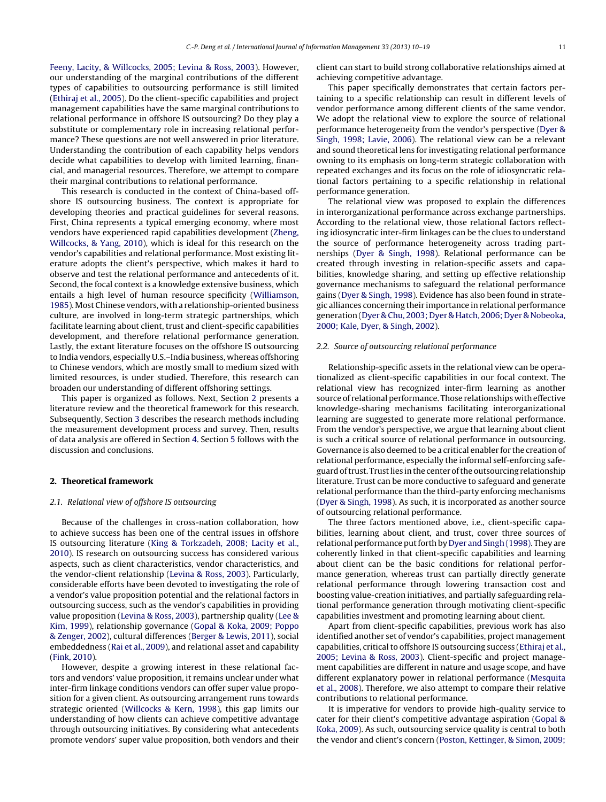[Feeny,](#page--1-0) [Lacity,](#page--1-0) [&](#page--1-0) [Willcocks,](#page--1-0) [2005;](#page--1-0) [Levina](#page--1-0) [&](#page--1-0) [Ross,](#page--1-0) [2003\).](#page--1-0) However, our understanding of the marginal contributions of the different types of capabilities to outsourcing performance is still limited ([Ethiraj](#page--1-0) et [al.,](#page--1-0) [2005\).](#page--1-0) Do the client-specific capabilities and project management capabilities have the same marginal contributions to relational performance in offshore IS outsourcing? Do they play a substitute or complementary role in increasing relational performance? These questions are not well answered in prior literature. Understanding the contribution of each capability helps vendors decide what capabilities to develop with limited learning, financial, and managerial resources. Therefore, we attempt to compare their marginal contributions to relational performance.

This research is conducted in the context of China-based offshore IS outsourcing business. The context is appropriate for developing theories and practical guidelines for several reasons. First, China represents a typical emerging economy, where most vendors have experienced rapid capabilities development ([Zheng,](#page--1-0) [Willcocks,](#page--1-0) [&](#page--1-0) [Yang,](#page--1-0) [2010\),](#page--1-0) which is ideal for this research on the vendor's capabilities and relational performance. Most existing literature adopts the client's perspective, which makes it hard to observe and test the relational performance and antecedents of it. Second, the focal context is a knowledge extensive business, which entails a high level of human resource specificity ([Williamson,](#page--1-0) [1985\).](#page--1-0) Most Chinese vendors, with a relationship-oriented business culture, are involved in long-term strategic partnerships, which facilitate learning about client, trust and client-specific capabilities development, and therefore relational performance generation. Lastly, the extant literature focuses on the offshore IS outsourcing to India vendors, especially U.S.–India business, whereas offshoring to Chinese vendors, which are mostly small to medium sized with limited resources, is under studied. Therefore, this research can broaden our understanding of different offshoring settings.

This paper is organized as follows. Next, Section 2 presents a literature review and the theoretical framework for this research. Subsequently, Section [3](#page--1-0) describes the research methods including the measurement development process and survey. Then, results of data analysis are offered in Section [4.](#page--1-0) Section [5](#page--1-0) follows with the discussion and conclusions.

### **2. Theoretical framework**

### 2.1. Relational view of offshore IS outsourcing

Because of the challenges in cross-nation collaboration, how to achieve success has been one of the central issues in offshore IS outsourcing literature [\(King](#page--1-0) [&](#page--1-0) [Torkzadeh,](#page--1-0) [2008;](#page--1-0) [Lacity](#page--1-0) et [al.,](#page--1-0) [2010\).](#page--1-0) IS research on outsourcing success has considered various aspects, such as client characteristics, vendor characteristics, and the vendor-client relationship [\(Levina](#page--1-0) [&](#page--1-0) [Ross,](#page--1-0) [2003\).](#page--1-0) Particularly, considerable efforts have been devoted to investigating the role of a vendor's value proposition potential and the relational factors in outsourcing success, such as the vendor's capabilities in providing value proposition ([Levina](#page--1-0) [&](#page--1-0) [Ross,](#page--1-0) [2003\),](#page--1-0) partnership quality ([Lee](#page--1-0) [&](#page--1-0) [Kim,](#page--1-0) [1999\),](#page--1-0) relationship governance ([Gopal](#page--1-0) [&](#page--1-0) [Koka,](#page--1-0) [2009;](#page--1-0) [Poppo](#page--1-0) [&](#page--1-0) [Zenger,](#page--1-0) [2002\),](#page--1-0) cultural differences [\(Berger](#page--1-0) [&](#page--1-0) [Lewis,](#page--1-0) [2011\),](#page--1-0) social embeddedness ([Rai](#page--1-0) et [al.,](#page--1-0) [2009\),](#page--1-0) and relational asset and capability ([Fink,](#page--1-0) [2010\).](#page--1-0)

However, despite a growing interest in these relational factors and vendors' value proposition, it remains unclear under what inter-firm linkage conditions vendors can offer super value proposition for a given client. As outsourcing arrangement runs towards strategic oriented ([Willcocks](#page--1-0) [&](#page--1-0) [Kern,](#page--1-0) [1998\),](#page--1-0) this gap limits our understanding of how clients can achieve competitive advantage through outsourcing initiatives. By considering what antecedents promote vendors' super value proposition, both vendors and their client can start to build strong collaborative relationships aimed at achieving competitive advantage.

This paper specifically demonstrates that certain factors pertaining to a specific relationship can result in different levels of vendor performance among different clients of the same vendor. We adopt the relational view to explore the source of relational performance heterogeneity from the vendor's perspective ([Dyer](#page--1-0) [&](#page--1-0) [Singh,](#page--1-0) [1998;](#page--1-0) [Lavie,](#page--1-0) [2006\).](#page--1-0) The relational view can be a relevant and sound theoretical lens for investigating relational performance owning to its emphasis on long-term strategic collaboration with repeated exchanges and its focus on the role of idiosyncratic relational factors pertaining to a specific relationship in relational performance generation.

The relational view was proposed to explain the differences in interorganizational performance across exchange partnerships. According to the relational view, those relational factors reflecting idiosyncratic inter-firm linkages can be the clues to understand the source of performance heterogeneity across trading partnerships [\(Dyer](#page--1-0) [&](#page--1-0) [Singh,](#page--1-0) [1998\).](#page--1-0) Relational performance can be created through investing in relation-specific assets and capabilities, knowledge sharing, and setting up effective relationship governance mechanisms to safeguard the relational performance gains [\(Dyer](#page--1-0) [&](#page--1-0) [Singh,](#page--1-0) [1998\).](#page--1-0) Evidence has also been found in strategic alliances concerning their importance in relational performance generation ([Dyer](#page--1-0) [&](#page--1-0) [Chu,](#page--1-0) [2003;](#page--1-0) [Dyer](#page--1-0) [&](#page--1-0) [Hatch,](#page--1-0) [2006;](#page--1-0) [Dyer](#page--1-0) [&](#page--1-0) [Nobeoka,](#page--1-0) [2000;](#page--1-0) [Kale,](#page--1-0) [Dyer,](#page--1-0) [&](#page--1-0) [Singh,](#page--1-0) [2002\).](#page--1-0)

### 2.2. Source of outsourcing relational performance

Relationship-specific assets in the relational view can be operationalized as client-specific capabilities in our focal context. The relational view has recognized inter-firm learning as another source of relational performance. Those relationships with effective knowledge-sharing mechanisms facilitating interorganizational learning are suggested to generate more relational performance. From the vendor's perspective, we argue that learning about client is such a critical source of relational performance in outsourcing. Governance is also deemed to be a critical enabler for the creation of relational performance, especially the informal self-enforcing safeguard of trust. Trust lies in the center of the outsourcing relationship literature. Trust can be more conductive to safeguard and generate relational performance than the third-party enforcing mechanisms [\(Dyer](#page--1-0) [&](#page--1-0) [Singh,](#page--1-0) [1998\).](#page--1-0) As such, it is incorporated as another source of outsourcing relational performance.

The three factors mentioned above, i.e., client-specific capabilities, learning about client, and trust, cover three sources of relational performance put forth by [Dyer](#page--1-0) [and](#page--1-0) [Singh](#page--1-0) [\(1998\).](#page--1-0) They are coherently linked in that client-specific capabilities and learning about client can be the basic conditions for relational performance generation, whereas trust can partially directly generate relational performance through lowering transaction cost and boosting value-creation initiatives, and partially safeguarding relational performance generation through motivating client-specific capabilities investment and promoting learning about client.

Apart from client-specific capabilities, previous work has also identified another set of vendor's capabilities, project management capabilities, critical to offshore IS outsourcing success [\(Ethiraj](#page--1-0) et [al.,](#page--1-0) [2005;](#page--1-0) [Levina](#page--1-0) [&](#page--1-0) [Ross,](#page--1-0) [2003\).](#page--1-0) Client-specific and project management capabilities are different in nature and usage scope, and have different explanatory power in relational performance [\(Mesquita](#page--1-0) et [al.,](#page--1-0) [2008\).](#page--1-0) Therefore, we also attempt to compare their relative contributions to relational performance.

It is imperative for vendors to provide high-quality service to cater for their client's competitive advantage aspiration [\(Gopal](#page--1-0) [&](#page--1-0) [Koka,](#page--1-0) [2009\).](#page--1-0) As such, outsourcing service quality is central to both the vendor and client's concern ([Poston,](#page--1-0) [Kettinger,](#page--1-0) [&](#page--1-0) [Simon,](#page--1-0) [2009;](#page--1-0)